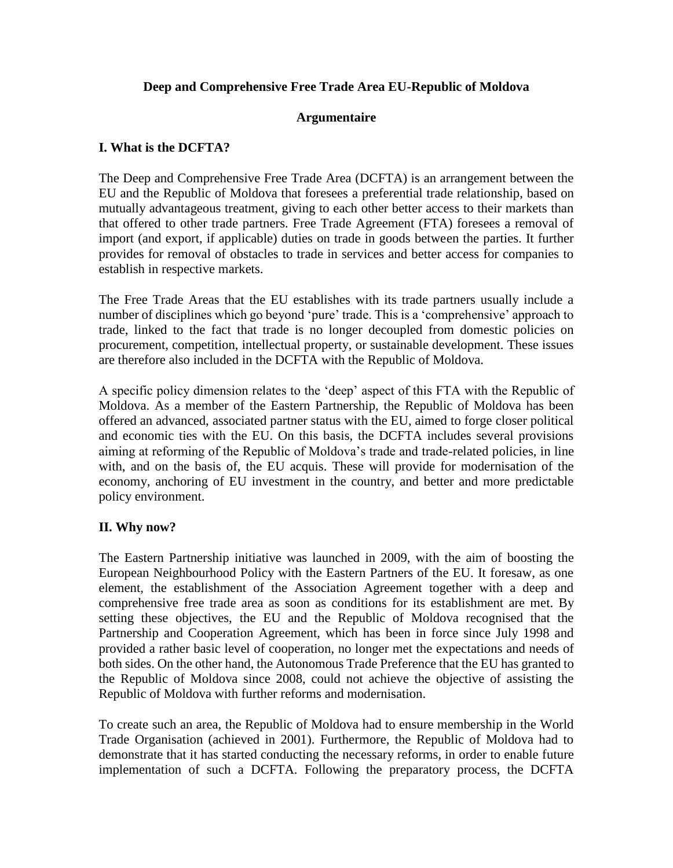## **Deep and Comprehensive Free Trade Area EU-Republic of Moldova**

### **Argumentaire**

### **I. What is the DCFTA?**

The Deep and Comprehensive Free Trade Area (DCFTA) is an arrangement between the EU and the Republic of Moldova that foresees a preferential trade relationship, based on mutually advantageous treatment, giving to each other better access to their markets than that offered to other trade partners. Free Trade Agreement (FTA) foresees a removal of import (and export, if applicable) duties on trade in goods between the parties. It further provides for removal of obstacles to trade in services and better access for companies to establish in respective markets.

The Free Trade Areas that the EU establishes with its trade partners usually include a number of disciplines which go beyond 'pure' trade. This is a 'comprehensive' approach to trade, linked to the fact that trade is no longer decoupled from domestic policies on procurement, competition, intellectual property, or sustainable development. These issues are therefore also included in the DCFTA with the Republic of Moldova.

A specific policy dimension relates to the 'deep' aspect of this FTA with the Republic of Moldova. As a member of the Eastern Partnership, the Republic of Moldova has been offered an advanced, associated partner status with the EU, aimed to forge closer political and economic ties with the EU. On this basis, the DCFTA includes several provisions aiming at reforming of the Republic of Moldova's trade and trade-related policies, in line with, and on the basis of, the EU acquis. These will provide for modernisation of the economy, anchoring of EU investment in the country, and better and more predictable policy environment.

#### **II. Why now?**

The Eastern Partnership initiative was launched in 2009, with the aim of boosting the European Neighbourhood Policy with the Eastern Partners of the EU. It foresaw, as one element, the establishment of the Association Agreement together with a deep and comprehensive free trade area as soon as conditions for its establishment are met. By setting these objectives, the EU and the Republic of Moldova recognised that the Partnership and Cooperation Agreement, which has been in force since July 1998 and provided a rather basic level of cooperation, no longer met the expectations and needs of both sides. On the other hand, the Autonomous Trade Preference that the EU has granted to the Republic of Moldova since 2008, could not achieve the objective of assisting the Republic of Moldova with further reforms and modernisation.

To create such an area, the Republic of Moldova had to ensure membership in the World Trade Organisation (achieved in 2001). Furthermore, the Republic of Moldova had to demonstrate that it has started conducting the necessary reforms, in order to enable future implementation of such a DCFTA. Following the preparatory process, the DCFTA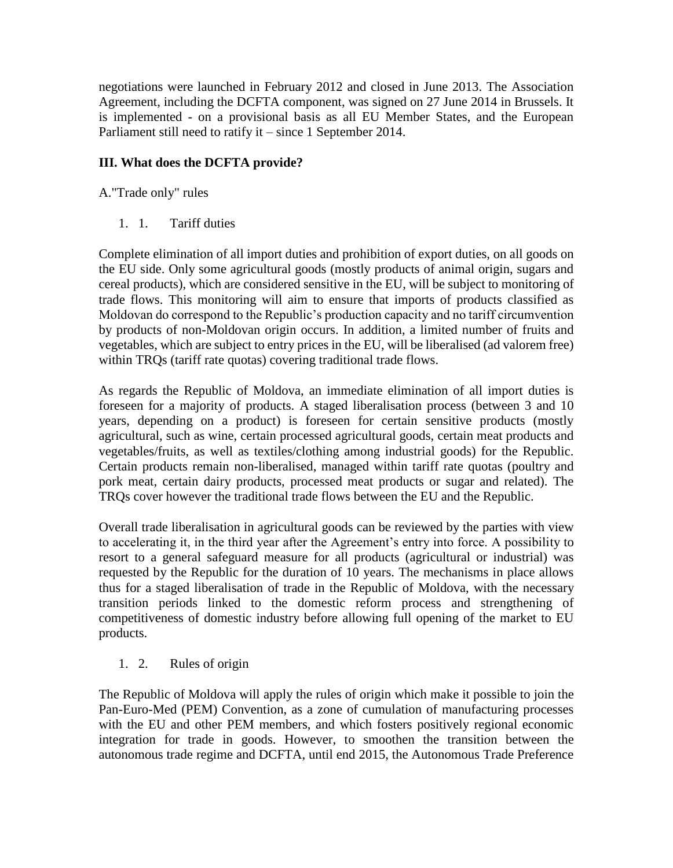negotiations were launched in February 2012 and closed in June 2013. The Association Agreement, including the DCFTA component, was signed on 27 June 2014 in Brussels. It is implemented - on a provisional basis as all EU Member States, and the European Parliament still need to ratify it – since 1 September 2014.

# **III. What does the DCFTA provide?**

A."Trade only" rules

1. 1. Tariff duties

Complete elimination of all import duties and prohibition of export duties, on all goods on the EU side. Only some agricultural goods (mostly products of animal origin, sugars and cereal products), which are considered sensitive in the EU, will be subject to monitoring of trade flows. This monitoring will aim to ensure that imports of products classified as Moldovan do correspond to the Republic's production capacity and no tariff circumvention by products of non-Moldovan origin occurs. In addition, a limited number of fruits and vegetables, which are subject to entry prices in the EU, will be liberalised (ad valorem free) within TROs (tariff rate quotas) covering traditional trade flows.

As regards the Republic of Moldova, an immediate elimination of all import duties is foreseen for a majority of products. A staged liberalisation process (between 3 and 10 years, depending on a product) is foreseen for certain sensitive products (mostly agricultural, such as wine, certain processed agricultural goods, certain meat products and vegetables/fruits, as well as textiles/clothing among industrial goods) for the Republic. Certain products remain non-liberalised, managed within tariff rate quotas (poultry and pork meat, certain dairy products, processed meat products or sugar and related). The TRQs cover however the traditional trade flows between the EU and the Republic.

Overall trade liberalisation in agricultural goods can be reviewed by the parties with view to accelerating it, in the third year after the Agreement's entry into force. A possibility to resort to a general safeguard measure for all products (agricultural or industrial) was requested by the Republic for the duration of 10 years. The mechanisms in place allows thus for a staged liberalisation of trade in the Republic of Moldova, with the necessary transition periods linked to the domestic reform process and strengthening of competitiveness of domestic industry before allowing full opening of the market to EU products.

## 1. 2. Rules of origin

The Republic of Moldova will apply the rules of origin which make it possible to join the Pan-Euro-Med (PEM) Convention, as a zone of cumulation of manufacturing processes with the EU and other PEM members, and which fosters positively regional economic integration for trade in goods. However, to smoothen the transition between the autonomous trade regime and DCFTA, until end 2015, the Autonomous Trade Preference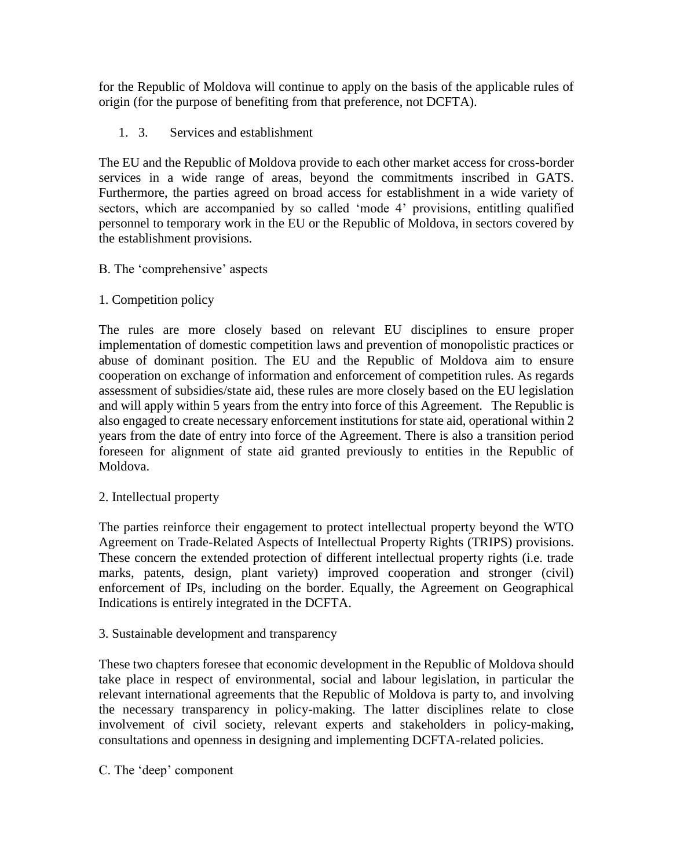for the Republic of Moldova will continue to apply on the basis of the applicable rules of origin (for the purpose of benefiting from that preference, not DCFTA).

1. 3. Services and establishment

The EU and the Republic of Moldova provide to each other market access for cross-border services in a wide range of areas, beyond the commitments inscribed in GATS. Furthermore, the parties agreed on broad access for establishment in a wide variety of sectors, which are accompanied by so called 'mode 4' provisions, entitling qualified personnel to temporary work in the EU or the Republic of Moldova, in sectors covered by the establishment provisions.

B. The 'comprehensive' aspects

# 1. Competition policy

The rules are more closely based on relevant EU disciplines to ensure proper implementation of domestic competition laws and prevention of monopolistic practices or abuse of dominant position. The EU and the Republic of Moldova aim to ensure cooperation on exchange of information and enforcement of competition rules. As regards assessment of subsidies/state aid, these rules are more closely based on the EU legislation and will apply within 5 years from the entry into force of this Agreement. The Republic is also engaged to create necessary enforcement institutions for state aid, operational within 2 years from the date of entry into force of the Agreement. There is also a transition period foreseen for alignment of state aid granted previously to entities in the Republic of Moldova.

# 2. Intellectual property

The parties reinforce their engagement to protect intellectual property beyond the WTO Agreement on Trade-Related Aspects of Intellectual Property Rights (TRIPS) provisions. These concern the extended protection of different intellectual property rights (i.e. trade marks, patents, design, plant variety) improved cooperation and stronger (civil) enforcement of IPs, including on the border. Equally, the Agreement on Geographical Indications is entirely integrated in the DCFTA.

## 3. Sustainable development and transparency

These two chapters foresee that economic development in the Republic of Moldova should take place in respect of environmental, social and labour legislation, in particular the relevant international agreements that the Republic of Moldova is party to, and involving the necessary transparency in policy-making. The latter disciplines relate to close involvement of civil society, relevant experts and stakeholders in policy-making, consultations and openness in designing and implementing DCFTA-related policies.

C. The 'deep' component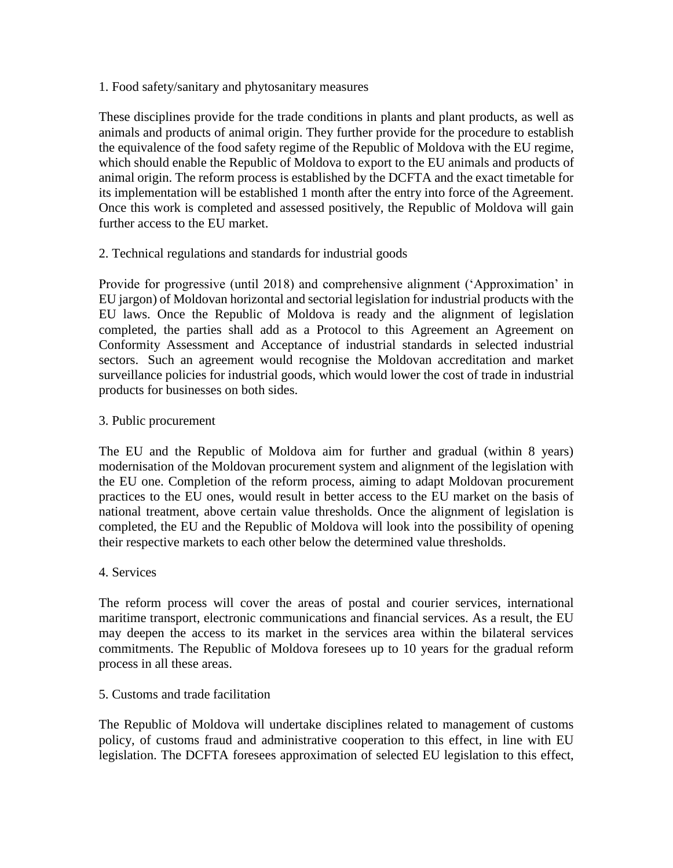1. Food safety/sanitary and phytosanitary measures

These disciplines provide for the trade conditions in plants and plant products, as well as animals and products of animal origin. They further provide for the procedure to establish the equivalence of the food safety regime of the Republic of Moldova with the EU regime, which should enable the Republic of Moldova to export to the EU animals and products of animal origin. The reform process is established by the DCFTA and the exact timetable for its implementation will be established 1 month after the entry into force of the Agreement. Once this work is completed and assessed positively, the Republic of Moldova will gain further access to the EU market.

2. Technical regulations and standards for industrial goods

Provide for progressive (until 2018) and comprehensive alignment ('Approximation' in EU jargon) of Moldovan horizontal and sectorial legislation for industrial products with the EU laws. Once the Republic of Moldova is ready and the alignment of legislation completed, the parties shall add as a Protocol to this Agreement an Agreement on Conformity Assessment and Acceptance of industrial standards in selected industrial sectors. Such an agreement would recognise the Moldovan accreditation and market surveillance policies for industrial goods, which would lower the cost of trade in industrial products for businesses on both sides.

### 3. Public procurement

The EU and the Republic of Moldova aim for further and gradual (within 8 years) modernisation of the Moldovan procurement system and alignment of the legislation with the EU one. Completion of the reform process, aiming to adapt Moldovan procurement practices to the EU ones, would result in better access to the EU market on the basis of national treatment, above certain value thresholds. Once the alignment of legislation is completed, the EU and the Republic of Moldova will look into the possibility of opening their respective markets to each other below the determined value thresholds.

4. Services

The reform process will cover the areas of postal and courier services, international maritime transport, electronic communications and financial services. As a result, the EU may deepen the access to its market in the services area within the bilateral services commitments. The Republic of Moldova foresees up to 10 years for the gradual reform process in all these areas.

#### 5. Customs and trade facilitation

The Republic of Moldova will undertake disciplines related to management of customs policy, of customs fraud and administrative cooperation to this effect, in line with EU legislation. The DCFTA foresees approximation of selected EU legislation to this effect,